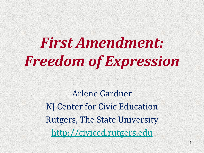*First Amendment: Freedom of Expression*

> Arlene Gardner NJ Center for Civic Education Rutgers, The State University [http://civiced.rutgers.edu](http://civiced.rutgers.edu/)

> > 1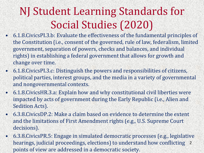### NJ Student Learning Standards for Social Studies (2020)

- 6.1.8.CivicsPI.3.b: Evaluate the effectiveness of the fundamental principles of the Constitution (i.e., consent of the governed, rule of law, federalism, limited government, separation of powers, checks and balances, and individual rights) in establishing a federal government that allows for growth and change over time.
- 6.1.8.CivicsPI.3.c: Distinguish the powers and responsibilities of citizens, political parties, interest groups, and the media in a variety of governmental and nongovernmental contexts.
- 6.1.8.CivicsHR.3.a: Explain how and why constitutional civil liberties were impacted by acts of government during the Early Republic (i.e., Alien and Sedition Acts).
- 6.3.8.CivicsDP.2: Make a claim based on evidence to determine the extent and the limitations of First Amendment rights (e.g., U.S. Supreme Court decisions).
- 6.3.8.CivicsPR.5: Engage in simulated democratic processes (e.g., legislative hearings, judicial proceedings, elections) to understand how conflicting 2points of view are addressed in a democratic society.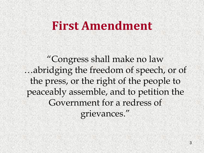### **First Amendment**

"Congress shall make no law …abridging the freedom of speech, or of the press, or the right of the people to peaceably assemble, and to petition the Government for a redress of grievances."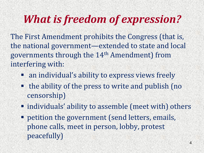## *What is freedom of expression?*

The First Amendment prohibits the Congress (that is, the national government—extended to state and local governments through the 14th Amendment) from interfering with:

- an individual's ability to express views freely
- the ability of the press to write and publish (no censorship)
- individuals' ability to assemble (meet with) others
- **PERIGE 1** petition the government (send letters, emails, phone calls, meet in person, lobby, protest peacefully)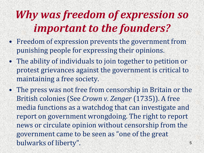## *Why was freedom of expression so important to the founders?*

- Freedom of expression prevents the government from punishing people for expressing their opinions.
- The ability of individuals to join together to petition or protest grievances against the government is critical to maintaining a free society.
- The press was not free from censorship in Britain or the British colonies (See *Crown v. Zenger* (1735)). A free media functions as a watchdog that can investigate and report on government wrongdoing. The right to report news or circulate opinion without censorship from the government came to be seen as "one of the great bulwarks of liberty".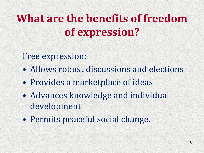## **What are the benefits of freedom of expression?**

### Free expression:

- Allows robust discussions and elections
- Provides a marketplace of ideas
- Advances knowledge and individual development
- Permits peaceful social change.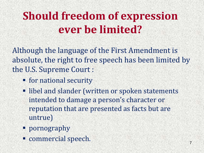### **Should freedom of expression ever be limited?**

Although the language of the First Amendment is absolute, the right to free speech has been limited by the U.S. Supreme Court :

- **For national security**
- libel and slander (written or spoken statements intended to damage a person's character or reputation that are presented as facts but are untrue)
- **pornography**
- commercial speech.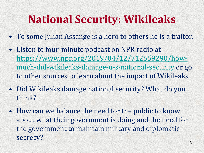### **National Security: Wikileaks**

- To some Julian Assange is a hero to others he is a traitor.
- Listen to four-minute podcast on NPR radio at [https://www.npr.org/2019/04/12/712659290/how](https://www.npr.org/2019/04/12/712659290/how-much-did-wikileaks-damage-u-s-national-security)[much-did-wikileaks-damage-u-s-national-security](https://www.npr.org/2019/04/12/712659290/how-much-did-wikileaks-damage-u-s-national-security) or go to other sources to learn about the impact of Wikileaks
- Did Wikileaks damage national security? What do you think?
- How can we balance the need for the public to know about what their government is doing and the need for the government to maintain military and diplomatic secrecy?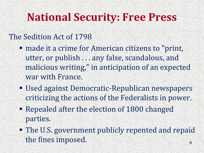### **National Security: Free Press**

### The Sedition Act of 1798

- made it a crime for American citizens to "print, utter, or publish . . . any false, scandalous, and malicious writing," in anticipation of an expected war with France.
- Used against Democratic-Republican newspapers criticizing the actions of the Federalists in power.
- Repealed after the election of 1800 changed parties.
- The U.S. government publicly repented and repaid the fines imposed.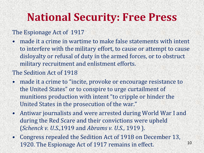### **National Security: Free Press**

#### The Espionage Act of 1917

• made it a crime in wartime to make false statements with intent to interfere with the military effort, to cause or attempt to cause disloyalty or refusal of duty in the armed forces, or to obstruct military recruitment and enlistment efforts.

#### The Sedition Act of 1918

- made it a crime to "incite, provoke or encourage resistance to the United States" or to conspire to urge curtailment of munitions production with intent "to cripple or hinder the United States in the prosecution of the war."
- Antiwar journalists and were arrested during World War I and during the Red Scare and their convictions were upheld (*Schenck v. U.S.,*1919 and *Abrams v. U.S.,* 1919 ).
- Congress repealed the Sedition Act of 1918 on December 13, 1920. The Espionage Act of 1917 remains in effect. 10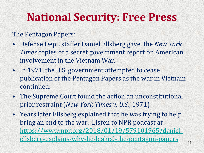### **National Security: Free Press**

#### The Pentagon Papers:

- Defense Dept. staffer Daniel Ellsberg gave the *New York Times* copies of a secret government report on American involvement in the Vietnam War.
- In 1971, the U.S. government attempted to cease publication of the Pentagon Papers as the war in Vietnam continued.
- The Supreme Court found the action an unconstitutional prior restraint (*New York Times v. U.S.*, 1971)
- Years later Ellsberg explained that he was trying to help bring an end to the war. Listen to NPR podcast at [https://www.npr.org/2018/01/19/579101965/daniel](https://www.npr.org/2018/01/19/579101965/daniel-ellsberg-explains-why-he-leaked-the-pentagon-papers)[ellsberg-explains-why-he-leaked-the-pentagon-papers](https://www.npr.org/2018/01/19/579101965/daniel-ellsberg-explains-why-he-leaked-the-pentagon-papers)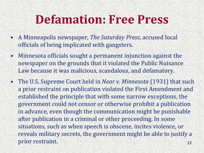### **Defamation: Free Press**

- A Minneapolis newspaper, *The Saturday Press*, accused local officials of being implicated with gangsters.
- Minnesota officials sought a permanent injunction against the newspaper on the grounds that it violated the Public Nuisance Law because it was malicious, scandalous, and defamatory.
- The U.S. Supreme Court held in *Near v. Minnesota* (1931) that such a prior restraint on publication violated the First Amendment and established the principle that with some narrow exceptions, the government could not censor or otherwise prohibit a publication in advance, even though the communication might be punishable after publication in a criminal or other proceeding. In some situations, such as when speech is obscene, incites violence, or reveals military secrets, the government might be able to justify a prior restraint. 12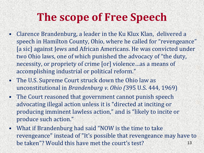### **The scope of Free Speech**

- Clarence Brandenburg, a leader in the Ku Klux Klan, delivered a speech in Hamilton County, Ohio, where he called for "revengeance" [a sic] against Jews and African Americans. He was convicted under two Ohio laws, one of which punished the advocacy of "the duty, necessity, or propriety of crime [or] violence…as a means of accomplishing industrial or political reform."
- The U.S. Supreme Court struck down the Ohio law as unconstitutional in *Brandenburg v. Ohio (*395 U.S. 444, 1969)
- The Court reasoned that government cannot punish speech advocating illegal action unless it is "directed at inciting or producing imminent lawless action," and is "likely to incite or produce such action."
- What if Brandenburg had said "NOW is the time to take revengeance" instead of "It's possible that revengeance may have to be taken"? Would this have met the court's test?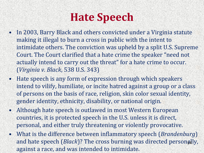### **Hate Speech**

- In 2003, Barry Black and others convicted under a Virginia statute making it illegal to burn a cross in public with the intent to intimidate others. The conviction was upheld by a split U.S. Supreme Court. The Court clarified that a hate crime the speaker "need not actually intend to carry out the threat" for a hate crime to occur. (*Virginia v. Black*, 538 U.S. 343)
- Hate speech is any form of expression through which speakers intend to vilify, humiliate, or incite hatred against a group or a class of persons on the basis of race, religion, skin color sexual identity, gender identity, ethnicity, disability, or national origin.
- Although hate speech is outlawed in most Western European countries, it is protected speech in the U.S. unless it is direct, personal, and either truly threatening or violently provocative.
- What is the difference between inflammatory speech (*Brandenburg*) and hate speech (Black)? The cross burning was directed personally, against a race, and was intended to intimidate.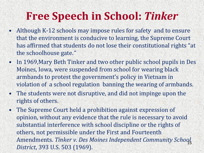### **Free Speech in School:** *Tinker*

- Although K-12 schools may impose rules for safety and to ensure that the environment is conducive to learning, the Supreme Court has affirmed that students do not lose their constitutional rights "at the schoolhouse gate.*"*
- In 1969,Mary Beth Tinker and two other public school pupils in Des Moines, Iowa, were suspended from school for wearing black armbands to protest the government's policy in Vietnam in violation of a school regulation banning the wearing of armbands.
- The students were not disruptive, and did not impinge upon the rights of others.
- The Supreme Court held a prohibition against expression of opinion, without any evidence that the rule is necessary to avoid substantial interference with school discipline or the rights of others, not permissible under the First and Fourteenth Amendments. *Tinker v. Des Moines Independent Community School*  15*District*, 393 U.S. 503 (1969).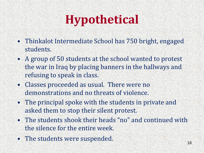# **Hypothetical**

- Thinkalot Intermediate School has 750 bright, engaged students.
- A group of 50 students at the school wanted to protest the war in Iraq by placing banners in the hallways and refusing to speak in class.
- Classes proceeded as usual. There were no demonstrations and no threats of violence.
- The principal spoke with the students in private and asked them to stop their silent protest.
- The students shook their heads "no" and continued with the silence for the entire week.
- The students were suspended.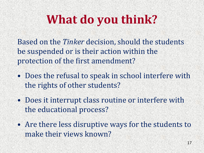# **What do you think?**

Based on the *Tinker* decision, should the students be suspended or is their action within the protection of the first amendment?

- Does the refusal to speak in school interfere with the rights of other students?
- Does it interrupt class routine or interfere with the educational process?
- Are there less disruptive ways for the students to make their views known?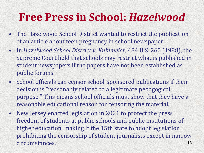### **Free Press in School:** *Hazelwood*

- The Hazelwood School District wanted to restrict the publication of an article about teen pregnancy in school newspaper.
- In *Hazelwood School District v. Kuhlmeier*, 484 U.S. 260 (1988), the Supreme Court held that schools may restrict what is published in student newspapers if the papers have not been established as public forums.
- School officials can censor school-sponsored publications if their decision is "reasonably related to a legitimate pedagogical purpose." This means school officials must show that they have a reasonable educational reason for censoring the material.
- New Jersey enacted legislation in 2021 to protect the press freedom of students at public schools and public institutions of higher education, making it the 15th state to adopt legislation prohibiting the censorship of student journalists except in narrow circumstances. 18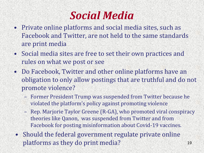

- Private online platforms and social media sites, such as Facebook and Twitter, are not held to the same standards are print media
- Social media sites are free to set their own practices and rules on what we post or see
- Do Facebook, Twitter and other online platforms have an obligation to only allow postings that are truthful and do not promote violence?
	- Former President Trump was suspended from Twitter because he
	- violated the platform's policy against promoting violence
	- Rep. Marjorie Taylor Greene (R-GA), who promoted viral conspiracy theories like Qanon, was suspended from Twitter and from Facebook for posting misinformation about Covid-19 vaccines.
- Should the federal government regulate private online platforms as they do print media? 19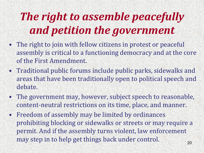## *The right to assemble peacefully and petition the government*

- The right to join with fellow citizens in protest or peaceful assembly is critical to a functioning democracy and at the core of the First Amendment.
- Traditional public forums include public parks, sidewalks and areas that have been traditionally open to political speech and debate.
- The government may, however, subject speech to reasonable, content-neutral restrictions on its time, place, and manner.
- Freedom of assembly may be limited by ordinances prohibiting blocking or sidewalks or streets or may require a permit. And if the assembly turns violent, law enforcement may step in to help get things back under control.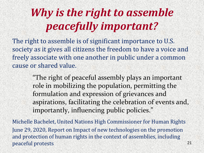### *Why is the right to assemble peacefully important?*

The right to assemble is of significant importance to U.S. society as it gives all citizens the freedom to have a voice and freely associate with one another in public under a common cause or shared value.

"The right of peaceful assembly plays an important role in mobilizing the population, permitting the formulation and expression of grievances and aspirations, facilitating the celebration of events and, importantly, influencing public policies."

Michelle Bachelet, United Nations High Commissioner for Human Rights June 29, 2020, Report on Impact of new technologies on the promotion and protection of human rights in the context of assemblies, including peaceful protests 21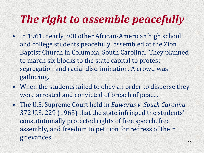### *The right to assemble peacefully*

- In 1961, nearly 200 other African-American high school and college students peacefully assembled at the Zion Baptist Church in Columbia, South Carolina. They planned to march six blocks to the state capital to protest segregation and racial discrimination. A crowd was gathering.
- When the students failed to obey an order to disperse they were arrested and convicted of breach of peace.
- The U.S. Supreme Court held in *Edwards v. South Carolina*  372 U.S. 229 (1963) that the state infringed the students' constitutionally protected rights of free speech, free assembly, and freedom to petition for redress of their grievances.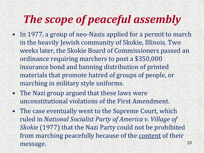### *The scope of peaceful assembly*

- In 1977, a group of neo-Nazis applied for a permit to march in the heavily Jewish community of Skokie, Illinois. Two weeks later, the Skokie Board of Commissioners passed an ordinance requiring marchers to post a \$350,000 insurance bond and banning distribution of printed materials that promote hatred of groups of people, or marching in military style uniforms.
- The Nazi group argued that these laws were unconstitutional violations of the First Amendment.
- The case eventually went to the Supreme Court, which ruled in *National Socialist Party of America v. Village of Skokie* (1977) that the Nazi Party could not be prohibited from marching peacefully because of the content of their message.